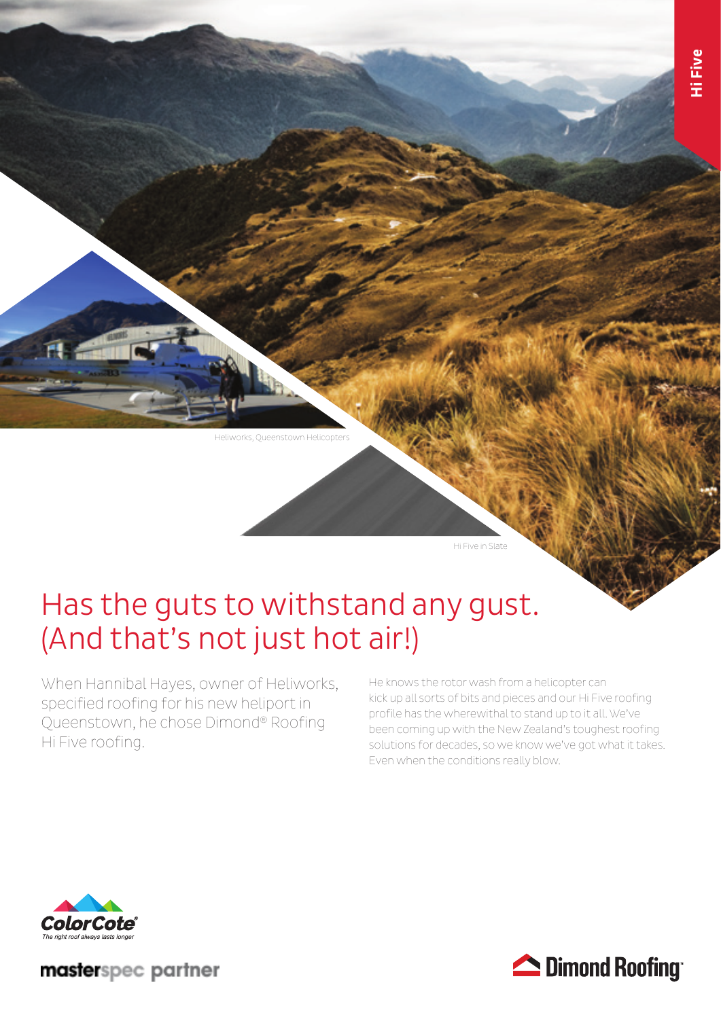Heliworks, Queenstown Helicopters

Hi Five in Slate

# Has the guts to withstand any gust. (And that's not just hot air!)

When Hannibal Hayes, owner of Heliworks, specified roofing for his new heliport in Queenstown, he chose Dimond® Roofing Hi Five roofing.

He knows the rotor wash from a helicopter can kick up all sorts of bits and pieces and our Hi Five roofing profile has the wherewithal to stand up to it all. We've been coming up with the New Zealand's toughest roofing solutions for decades, so we know we've got what it takes. Even when the conditions really blow.



masterspec partner